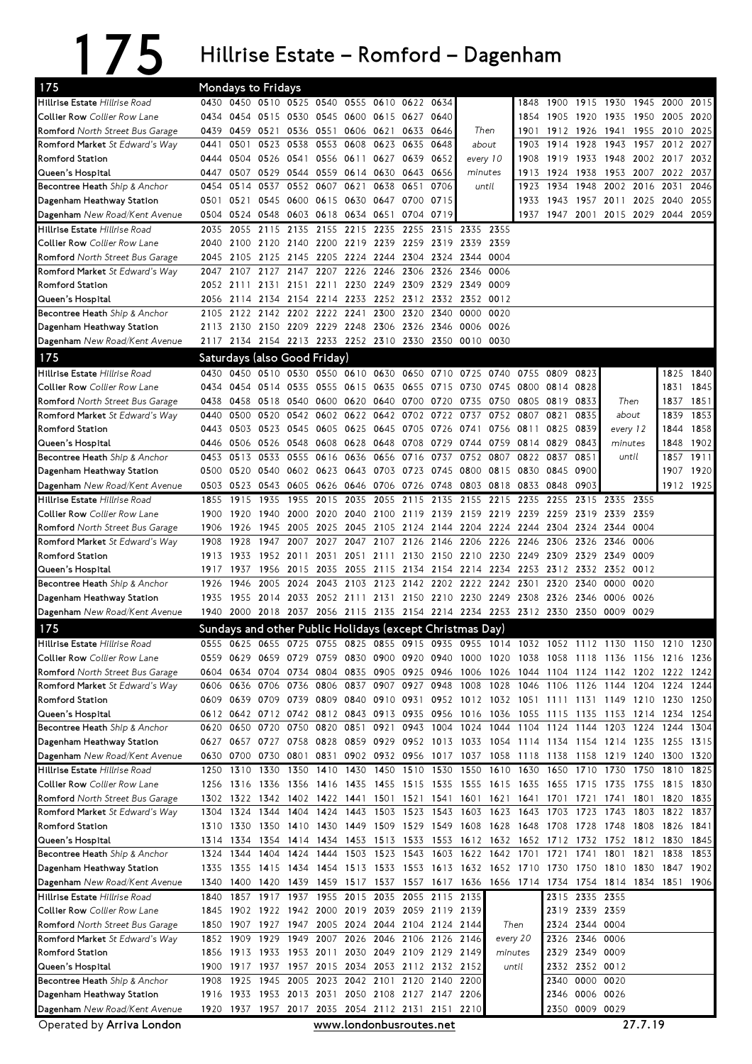## 175 Hillrise Estate – Romford – Dagenham

| 175                                 |      |                | Mondays to Fridays  |                               |                |                |                     |                                                   |                |                                                                                           |       |                |                          |                |                                    |      |                     |           |
|-------------------------------------|------|----------------|---------------------|-------------------------------|----------------|----------------|---------------------|---------------------------------------------------|----------------|-------------------------------------------------------------------------------------------|-------|----------------|--------------------------|----------------|------------------------------------|------|---------------------|-----------|
| Hillrise Estate Hillrise Road       |      |                |                     | 0430 0450 0510 0525 0540      |                |                | 0555 0610           | 0622                                              | 0634           |                                                                                           |       | 1848           | 1900                     | 1915 1930      |                                    | 1945 | 2000                | 2015      |
| <b>Collier Row</b> Collier Row Lane | 0434 |                |                     | 0454 0515 0530 0545 0600 0615 |                |                |                     | 0627 0640                                         |                |                                                                                           |       | 1854           | 1905                     |                | 1920 1935 1950 2005                |      |                     | 2020      |
| Romford North Street Bus Garage     | 0439 |                | 0459 0521           | 0536                          | 0551           | 0606 0621      |                     |                                                   | 0633 0646      | Then                                                                                      |       |                | 1901 1912 1926           |                | 1941 1955 2010 2025                |      |                     |           |
| Romford Market St Edward's Way      | 0441 | 0501           | 0523                | 0538                          |                | 0553 0608      | 0623                | 0635                                              | 0648           | about                                                                                     |       |                | 1903 1914 1928           |                |                                    |      | 1943 1957 2012 2027 |           |
| <b>Romford Station</b>              | 0444 | 0504           | 0526 0541           |                               |                |                | 0556 0611 0627 0639 |                                                   | 0652           | every 10                                                                                  |       | 1908           | 1919                     |                | 1933 1948 2002 2017                |      |                     | 2032      |
| Queen's Hospital                    | 0447 | 0507           | 0529 0544           |                               |                | 0559 0614 0630 |                     | 0643 0656                                         |                | minutes                                                                                   |       | 1913           | 1924                     | 1938           | 1953 2007                          |      | 2022                | 2037      |
| Becontree Heath Ship & Anchor       | 0454 | 0514           | 0537                |                               | 0552 0607 0621 |                | 0638                | 0651                                              | 0706           |                                                                                           | until | 1923           | 1934                     | 1948           | 2002 2016                          |      | 2031                | 2046      |
| Dagenham Heathway Station           | 0501 |                |                     |                               |                |                |                     | 0521 0545 0600 0615 0630 0647 0700                | 0715           |                                                                                           |       | 1933           | 1943                     |                | 1957 2011 2025 2040                |      |                     | 2055      |
| Dagenham New Road/Kent Avenue       | 0504 |                |                     | 0524 0548 0603 0618 0634 0651 |                |                |                     | 0704                                              | 0719           |                                                                                           |       |                |                          |                | 1937 1947 2001 2015 2029 2044 2059 |      |                     |           |
| Hillrise Estate Hillrise Road       | 2035 | 2055           | 2115                | 2135                          | 2155           | 2215 2235      |                     | 2255                                              |                | 2315 2335                                                                                 | 2355  |                |                          |                |                                    |      |                     |           |
| Collier Row Collier Row Lane        | 2040 |                |                     |                               |                |                |                     |                                                   |                | 2100 2120 2140 2200 2219 2239 2259 2319 2339 2359                                         |       |                |                          |                |                                    |      |                     |           |
| Romford North Street Bus Garage     | 2045 |                |                     | 2105 2125 2145 2205 2224 2244 |                |                |                     | 2304 2324 2344                                    |                |                                                                                           | 0004  |                |                          |                |                                    |      |                     |           |
| Romford Market St Edward's Way      | 2047 | 2107           | 2127 2147           |                               |                | 2207 2226 2246 |                     |                                                   | 2306 2326 2346 |                                                                                           | 0006  |                |                          |                |                                    |      |                     |           |
| Romford Station                     | 2052 | 2111           | 2131                | 2151                          | 2211           |                | 2230 2249           |                                                   | 2309 2329 2349 |                                                                                           | 0009  |                |                          |                |                                    |      |                     |           |
| Queen's Hospital                    | 2056 |                |                     |                               |                |                |                     | 2114 2134 2154 2214 2233 2252 2312 2332 2352      |                |                                                                                           | 0012  |                |                          |                |                                    |      |                     |           |
| Becontree Heath Ship & Anchor       | 2105 |                |                     | 2122 2142 2202 2222 2241      |                |                | 2300                | 2320                                              | 2340           | 0000                                                                                      | 0020  |                |                          |                |                                    |      |                     |           |
| Dagenham Heathway Station           |      |                |                     |                               |                |                |                     | 2113 2130 2150 2209 2229 2248 2306 2326 2346 0006 |                |                                                                                           | 0026  |                |                          |                |                                    |      |                     |           |
| Dagenham New Road/Kent Avenue       |      |                |                     |                               |                |                |                     |                                                   |                | 2117 2134 2154 2213 2233 2252 2310 2330 2350 0010 0030                                    |       |                |                          |                |                                    |      |                     |           |
| 175                                 |      |                |                     | Saturdays (also Good Friday)  |                |                |                     |                                                   |                |                                                                                           |       |                |                          |                |                                    |      |                     |           |
| Hillrise Estate Hillrise Road       |      | 0430 0450      |                     |                               |                |                |                     |                                                   |                | 0510 0530 0550 0610 0630 0650 0710 0725 0740 0755 0809                                    |       |                |                          | 0823           |                                    |      | 1825                | 1840      |
| <b>Collier Row</b> Collier Row Lane | 0434 |                | 0454 0514 0535      |                               |                | 0555 0615 0635 |                     | 0655 0715 0730                                    |                |                                                                                           |       | 0745 0800 0814 |                          | 0828           |                                    |      | 1831                | 1845      |
| Romford North Street Bus Garage     | 0438 | 0458           | 0518 0540           |                               |                |                |                     | 0600 0620 0640 0700 0720                          |                | 0735                                                                                      | 0750  |                | 0805 0819                | 0833           | Then                               |      | 1837                | 1851      |
| Romford Market St Edward's Way      | 0440 | 0500           |                     | 0520 0542                     |                |                |                     | 0602 0622 0642 0702 0722 0737                     |                |                                                                                           | 0752  | 0807           | 0821                     | 0835           | about                              |      | 1839                | 1853      |
| <b>Romford Station</b>              | 0443 |                | 0503 0523 0545      |                               |                | 0605 0625 0645 |                     | 0705 0726 0741                                    |                |                                                                                           |       | 0756 0811      | 0825                     | 0839           | every 12                           |      | 1844                | 1858      |
| Queen's Hospital                    | 0446 | 0506           | 0526 0548           |                               |                |                |                     |                                                   |                | 0608 0628 0648 0708 0729 0744 0759 0814 0829                                              |       |                |                          | 0843           | minutes                            |      | 1848                | 1902      |
| Becontree Heath Ship & Anchor       | 0453 | 0513           | 0533                | 0555                          | 0616           |                | 0636 0656           | 0716                                              | 0737           | 0752                                                                                      | 0807  | 0822           | 0837                     | 0851           | until                              |      | 1857                | 1911      |
| Dagenham Heathway Station           |      |                |                     |                               |                |                |                     | 0500 0520 0540 0602 0623 0643 0703 0723 0745 0800 |                |                                                                                           |       | 0815 0830 0845 |                          | 0900           |                                    |      |                     | 1907 1920 |
| Dagenham New Road/Kent Avenue       |      |                | 0503 0523 0543 0605 |                               |                |                |                     | 0626 0646 0706 0726 0748 0803                     |                |                                                                                           |       | 0818 0833 0848 |                          | 0903           |                                    |      |                     | 1912 1925 |
| Hillrise Estate Hillrise Road       | 1855 | 1915           | 1935                | 1955                          |                |                |                     |                                                   |                | 2015 2035 2055 2115 2135 2155 2215                                                        |       | 2235           | 2255                     | 2315           | 2335 2355                          |      |                     |           |
| Collier Row Collier Row Lane        | 1900 | 1920           | 1940 2000           |                               |                |                |                     |                                                   |                | 2020 2040 2100 2119 2139 2159 2219 2239 2259                                              |       |                |                          | 2319           | 2339 2359                          |      |                     |           |
| Romford North Street Bus Garage     | 1906 | 1926           | 1945                | 2005                          |                |                |                     |                                                   |                | 2025 2045 2105 2124 2144 2204 2224 2244 2304                                              |       |                |                          |                | 2324 2344 0004                     |      |                     |           |
| Romford Market St Edward's Way      | 1908 | 1928           |                     |                               |                |                |                     |                                                   |                | 1947 2007 2027 2047 2107 2126 2146 2206 2226 2246 2306                                    |       |                |                          | 2326           | 2346                               | 0006 |                     |           |
| <b>Romford Station</b>              | 1913 | 1933           | 1952 2011           |                               |                |                | 2031 2051 2111      |                                                   |                | 2130 2150 2210 2230 2249 2309                                                             |       |                |                          | 2329           | 2349                               | 0009 |                     |           |
| Queen's Hospital                    | 1917 | 1937           | 1956 2015           |                               |                |                |                     |                                                   |                | 2035 2055 2115 2134 2154 2214 2234 2253 2312 2332 2352 0012                               |       |                |                          |                |                                    |      |                     |           |
| Becontree Heath Ship & Anchor       | 1926 | 1946           |                     | 2005 2024                     |                |                |                     |                                                   |                | 2043 2103 2123 2142 2202 2222 2242 2301 2320                                              |       |                |                          | 2340           | 0000                               | 0020 |                     |           |
| Dagenham Heathway Station           | 1935 |                |                     | 1955 2014 2033                |                |                |                     |                                                   |                | 2052 2111 2131 2150 2210 2230 2249 2308 2326                                              |       |                |                          | 2346           | 0006 0026                          |      |                     |           |
| Dagenham New Road/Kent Avenue       |      |                |                     |                               |                |                |                     |                                                   |                | 1940 2000 2018 2037 2056 2115 2135 2154 2214 2234 2253 2312 2330 2350 0009 0029           |       |                |                          |                |                                    |      |                     |           |
| 175                                 |      |                |                     |                               |                |                |                     |                                                   |                | Sundays and other Public Holidays (except Christmas Day)                                  |       |                |                          |                |                                    |      |                     |           |
| Hillrise Estate Hillrise Road       |      |                |                     |                               |                |                |                     |                                                   |                | 0555 0625 0655 0725 0755 0825 0855 0915 0935 0955 1014 1032 1052 1112 1130 1150 1210 1230 |       |                |                          |                |                                    |      |                     |           |
| Collier Row Collier Row Lane        |      | 0559 0629      | 0659 0729           |                               |                |                |                     |                                                   |                | 0759 0830 0900 0920 0940 1000 1020 1038 1058 1118 1136 1156 1216 1236                     |       |                |                          |                |                                    |      |                     |           |
| Romford North Street Bus Garage     | 0604 | 0634           | 0704                | 0734                          | 0804           |                | 0835 0905           | 0925 0946                                         |                | 1006                                                                                      | 1026  | 1044           | 1104                     | 1124           | 1142 1202                          |      | 1222 1242           |           |
| Romford Market St Edward's Way      | 0606 | 0636           | 0706 0736           |                               |                |                |                     |                                                   |                | 0806 0837 0907 0927 0948 1008 1028 1046 1106 1126 1144 1204 1224                          |       |                |                          |                |                                    |      |                     | 1244      |
| Romford Station                     |      |                | 0609 0639 0709 0739 |                               |                |                | 0809 0840 0910 0931 |                                                   |                | 0952 1012 1032 1051 1111 1131 1149 1210 1230                                              |       |                |                          |                |                                    |      |                     | 1250      |
| Queen's Hospital                    |      |                |                     |                               |                |                |                     |                                                   |                | 0612 0642 0712 0742 0812 0843 0913 0935 0956 1016 1036 1055 1115 1135 1153 1214 1234      |       |                |                          |                |                                    |      |                     | 1254      |
| Becontree Heath Ship & Anchor       | 0620 | 0650           | 0720                | 0750                          |                | 0820 0851      | 0921                |                                                   | 0943 1004      |                                                                                           |       |                |                          |                | 1024 1044 1104 1124 1144 1203 1224 |      | 1244                | 1304      |
| Dagenham Heathway Station           | 0627 |                | 0657 0727 0758      |                               | 0828           |                |                     |                                                   |                | 0859 0929 0952 1013 1033 1054 1114 1134 1154 1214 1235 1255                               |       |                |                          |                |                                    |      |                     | 1315      |
| Dagenham New Road/Kent Avenue       |      | 0630 0700      | 0730 0801           |                               | 0831           |                |                     |                                                   |                | 0902 0932 0956 1017 1037 1058 1118 1138 1158                                              |       |                |                          |                | 1219 1240 1300                     |      |                     | 1320      |
| Hillrise Estate Hillrise Road       | 1250 | 1310           | 1330                | 1350                          |                | 1410 1430 1450 |                     | 1510 1530                                         |                |                                                                                           |       |                | 1550 1610 1630 1650 1710 |                | 1730                               | 1750 | 1810                | 1825      |
| Collier Row Collier Row Lane        | 1256 | 1316           | 1336 1356           |                               |                | 1416 1435 1455 |                     |                                                   |                | 1515 1535 1555 1615 1635 1655 1715 1735 1755                                              |       |                |                          |                |                                    |      | 1815 1830           |           |
| Romford North Street Bus Garage     | 1302 | 1322           | 1342 1402           |                               |                | 1422 1441      | 1501                |                                                   | 1521 1541      | 1601 1621                                                                                 |       | 1641           | 1701                     | 1721           | 1741                               | 1801 | 1820                | 1835      |
| Romford Market St Edward's Way      | 1304 | 1324           | 1344                | 1404                          | 1424           | 1443           | 1503                |                                                   | 1523 1543      | 1603                                                                                      | 1623  | 1643 1703      |                          | 1723           | 1743                               | 1803 | 1822                | 1837      |
| Romford Station                     |      | 1310 1330      |                     |                               |                |                |                     |                                                   |                | 1350 1410 1430 1449 1509 1529 1549 1608 1628 1648 1708 1728                               |       |                |                          |                | 1748 1808                          |      | 1826                | 1841      |
| Queen's Hospital                    |      | 1314 1334      |                     | 1354 1414                     |                |                |                     |                                                   |                | 1434 1453 1513 1533 1553 1612 1632 1652 1712 1732                                         |       |                |                          |                | 1752 1812 1830                     |      |                     | 1845      |
| Becontree Heath Ship & Anchor       |      | 1324 1344 1404 |                     | 1424                          | 1444           | 1503 1523      |                     |                                                   |                | 1543 1603 1622 1642 1701                                                                  |       |                | 1721                     | 1741           | 1801                               | 1821 | 1838                | 1853      |
| Dagenham Heathway Station           | 1335 |                | 1355 1415 1434      |                               |                |                |                     |                                                   |                | 1454 1513 1533 1553 1613 1632 1652 1710 1730 1750 1810 1830 1847                          |       |                |                          |                |                                    |      |                     | 1902      |
| Dagenham New Road/Kent Avenue       | 1340 | 1400           | 1420 1439           |                               |                |                |                     |                                                   |                | 1459 1517 1537 1557 1617 1636 1656 1714 1734 1754 1814 1834 1851 1906                     |       |                |                          |                |                                    |      |                     |           |
| Hillrise Estate Hillrise Road       | 1840 | 1857           |                     | 1917 1937                     | 1955           | 2015           | 2035                |                                                   | 2055 2115 2135 |                                                                                           |       |                |                          | 2315 2335      | 2355                               |      |                     |           |
| Collier Row Collier Row Lane        | 1845 |                |                     |                               |                |                |                     | 1902 1922 1942 2000 2019 2039 2059 2119 2139      |                |                                                                                           |       |                |                          | 2319 2339 2359 |                                    |      |                     |           |
| Romford North Street Bus Garage     | 1850 |                |                     |                               |                |                |                     | 1907 1927 1947 2005 2024 2044 2104 2124 2144      |                |                                                                                           |       | Then           | 2324                     | 2344 0004      |                                    |      |                     |           |
| Romford Market St Edward's Way      | 1852 | 1909           | 1929 1949           |                               |                |                |                     | 2007 2026 2046 2106 2126 2146                     |                | every 20                                                                                  |       |                | 2326                     | 2346 0006      |                                    |      |                     |           |
| Romford Station                     |      |                |                     |                               |                |                |                     | 1856 1913 1933 1953 2011 2030 2049 2109 2129 2149 |                |                                                                                           |       | minutes        |                          | 2329 2349 0009 |                                    |      |                     |           |
| Queen's Hospital                    | 1900 | 1917           | 1937                | 1957                          |                | 2015 2034 2053 |                     | 2112 2132 2152                                    |                |                                                                                           |       | until          | 2332                     | 2352 0012      |                                    |      |                     |           |
| Becontree Heath Ship & Anchor       | 1908 | 1925           |                     | 1945 2005                     |                |                | 2023 2042 2101      |                                                   | 2120 2140 2200 |                                                                                           |       |                | 2340                     | 0000 0020      |                                    |      |                     |           |
| Dagenham Heathway Station           |      |                |                     |                               |                |                |                     | 1916 1933 1953 2013 2031 2050 2108 2127 2147 2206 |                |                                                                                           |       |                |                          | 2346 0006 0026 |                                    |      |                     |           |
| Dagenham New Road/Kent Avenue       |      |                |                     |                               |                |                |                     |                                                   |                | 1920 1937 1957 2017 2035 2054 2112 2131 2151 2210                                         |       |                |                          | 2350 0009 0029 |                                    |      |                     |           |

Operated by Arriva London **www.londonbusroutes.net** 27.7.19